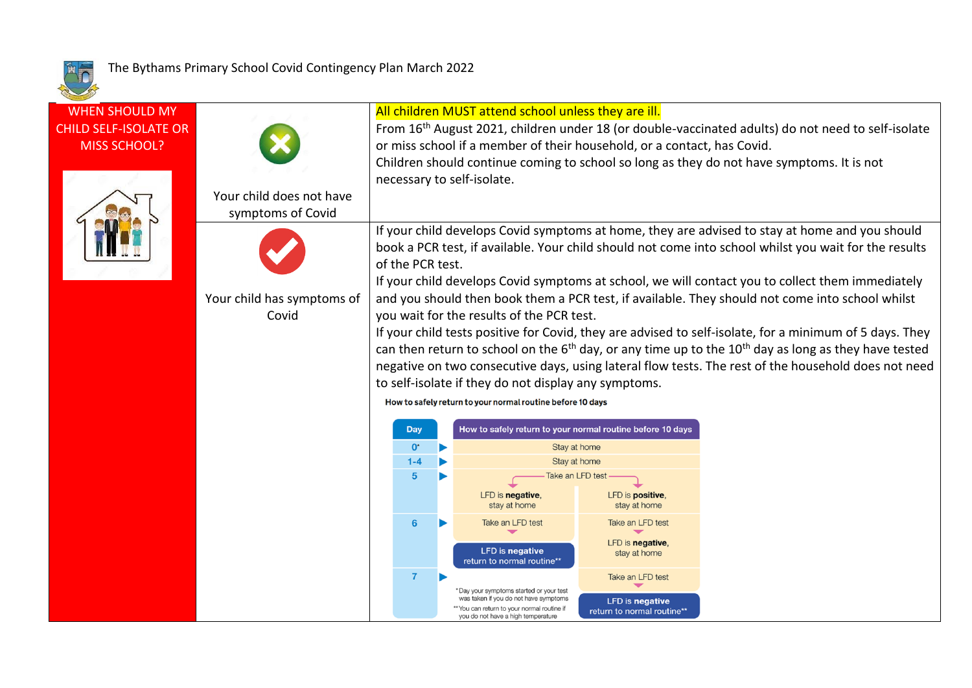

| <b>WHEN SHOULD MY</b><br><b>CHILD SELF-ISOLATE OR</b><br><b>MISS SCHOOL?</b> | Your child does not have<br>symptoms of Covid |                                                                                                                                                                                                                                                                                                                                                                                                                                                                                                                                                                                                  | All children MUST attend school unless they are ill.<br>From 16 <sup>th</sup> August 2021, children under 18 (or double-vaccinated adults) do not need to self-isolate<br>or miss school if a member of their household, or a contact, has Covid.<br>Children should continue coming to school so long as they do not have symptoms. It is not<br>necessary to self-isolate.<br>If your child develops Covid symptoms at home, they are advised to stay at home and you should<br>book a PCR test, if available. Your child should not come into school whilst you wait for the results<br>of the PCR test.<br>If your child develops Covid symptoms at school, we will contact you to collect them immediately |  |                                                                                                                                                                     |                                                      |  |  |
|------------------------------------------------------------------------------|-----------------------------------------------|--------------------------------------------------------------------------------------------------------------------------------------------------------------------------------------------------------------------------------------------------------------------------------------------------------------------------------------------------------------------------------------------------------------------------------------------------------------------------------------------------------------------------------------------------------------------------------------------------|-----------------------------------------------------------------------------------------------------------------------------------------------------------------------------------------------------------------------------------------------------------------------------------------------------------------------------------------------------------------------------------------------------------------------------------------------------------------------------------------------------------------------------------------------------------------------------------------------------------------------------------------------------------------------------------------------------------------|--|---------------------------------------------------------------------------------------------------------------------------------------------------------------------|------------------------------------------------------|--|--|
|                                                                              |                                               |                                                                                                                                                                                                                                                                                                                                                                                                                                                                                                                                                                                                  |                                                                                                                                                                                                                                                                                                                                                                                                                                                                                                                                                                                                                                                                                                                 |  |                                                                                                                                                                     |                                                      |  |  |
|                                                                              | Your child has symptoms of<br>Covid           | and you should then book them a PCR test, if available. They should not come into school whilst<br>you wait for the results of the PCR test.<br>If your child tests positive for Covid, they are advised to self-isolate, for a minimum of 5 days. They<br>can then return to school on the $6th$ day, or any time up to the $10th$ day as long as they have tested<br>negative on two consecutive days, using lateral flow tests. The rest of the household does not need<br>to self-isolate if they do not display any symptoms.<br>How to safely return to your normal routine before 10 days |                                                                                                                                                                                                                                                                                                                                                                                                                                                                                                                                                                                                                                                                                                                 |  |                                                                                                                                                                     |                                                      |  |  |
|                                                                              |                                               |                                                                                                                                                                                                                                                                                                                                                                                                                                                                                                                                                                                                  | How to safely return to your normal routine before 10 days<br><b>Day</b>                                                                                                                                                                                                                                                                                                                                                                                                                                                                                                                                                                                                                                        |  |                                                                                                                                                                     |                                                      |  |  |
|                                                                              |                                               |                                                                                                                                                                                                                                                                                                                                                                                                                                                                                                                                                                                                  | $\mathbf{0}^*$                                                                                                                                                                                                                                                                                                                                                                                                                                                                                                                                                                                                                                                                                                  |  |                                                                                                                                                                     | Stay at home                                         |  |  |
|                                                                              |                                               |                                                                                                                                                                                                                                                                                                                                                                                                                                                                                                                                                                                                  | $1 - 4$                                                                                                                                                                                                                                                                                                                                                                                                                                                                                                                                                                                                                                                                                                         |  |                                                                                                                                                                     | Stay at home<br>Take an LFD test                     |  |  |
|                                                                              |                                               |                                                                                                                                                                                                                                                                                                                                                                                                                                                                                                                                                                                                  |                                                                                                                                                                                                                                                                                                                                                                                                                                                                                                                                                                                                                                                                                                                 |  | LFD is negative,<br>stay at home                                                                                                                                    | LFD is positive,<br>stay at home                     |  |  |
|                                                                              |                                               |                                                                                                                                                                                                                                                                                                                                                                                                                                                                                                                                                                                                  | 6                                                                                                                                                                                                                                                                                                                                                                                                                                                                                                                                                                                                                                                                                                               |  | Take an LFD test<br><b>LFD</b> is negative<br>return to normal routine**                                                                                            | Take an LFD test<br>LFD is negative,<br>stay at home |  |  |
|                                                                              |                                               |                                                                                                                                                                                                                                                                                                                                                                                                                                                                                                                                                                                                  | 7                                                                                                                                                                                                                                                                                                                                                                                                                                                                                                                                                                                                                                                                                                               |  |                                                                                                                                                                     | Take an LFD test                                     |  |  |
|                                                                              |                                               |                                                                                                                                                                                                                                                                                                                                                                                                                                                                                                                                                                                                  |                                                                                                                                                                                                                                                                                                                                                                                                                                                                                                                                                                                                                                                                                                                 |  | *Day your symptoms started or your test<br>was taken if you do not have symptoms<br>'You can return to your normal routine if<br>you do not have a high temperature | <b>LFD</b> is negative<br>return to normal routine** |  |  |